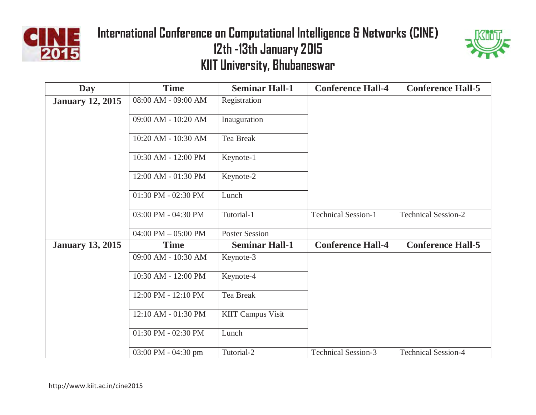



| <b>Day</b>              | <b>Time</b>                           | <b>Seminar Hall-1</b>    | <b>Conference Hall-4</b>   | <b>Conference Hall-5</b>   |
|-------------------------|---------------------------------------|--------------------------|----------------------------|----------------------------|
| <b>January 12, 2015</b> | 08:00 AM - 09:00 AM                   | Registration             |                            |                            |
|                         | 09:00 AM - 10:20 AM                   | Inauguration             |                            |                            |
|                         | 10:20 AM - 10:30 AM                   | Tea Break                |                            |                            |
|                         | 10:30 AM - 12:00 PM                   | Keynote-1                |                            |                            |
|                         | 12:00 AM - 01:30 PM                   | Keynote-2                |                            |                            |
|                         | 01:30 PM - 02:30 PM                   | Lunch                    |                            |                            |
|                         | 03:00 PM - 04:30 PM                   | Tutorial-1               | <b>Technical Session-1</b> | <b>Technical Session-2</b> |
|                         | 04:00 PM $-$ 05:00 PM                 | <b>Poster Session</b>    |                            |                            |
| <b>January 13, 2015</b> | <b>Time</b>                           | <b>Seminar Hall-1</b>    | <b>Conference Hall-4</b>   | <b>Conference Hall-5</b>   |
|                         | 09:00 AM - 10:30 AM                   | Keynote-3                |                            |                            |
|                         | 10:30 AM - 12:00 PM                   | Keynote-4                |                            |                            |
|                         | 12:00 PM - 12:10 PM                   | Tea Break                |                            |                            |
|                         | 12:10 AM - 01:30 PM                   | <b>KIIT Campus Visit</b> |                            |                            |
|                         | 01:30 PM - 02:30 PM                   | Lunch                    |                            |                            |
|                         | $03:00 \text{ PM} - 04:30 \text{ pm}$ | Tutorial-2               | <b>Technical Session-3</b> | <b>Technical Session-4</b> |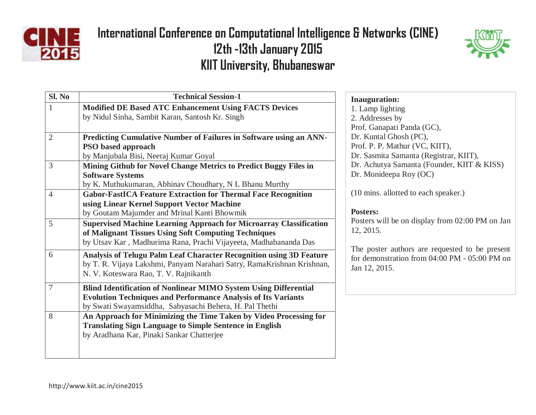



| Sl. No         | <b>Technical Session-1</b>                                                | <b>Inauguration:</b>                                        |
|----------------|---------------------------------------------------------------------------|-------------------------------------------------------------|
| $\mathbf{1}$   | <b>Modified DE Based ATC Enhancement Using FACTS Devices</b>              | 1. Lamp lighting                                            |
|                | by Nidul Sinha, Sambit Karan, Santosh Kr. Singh                           | 2. Addresses by                                             |
|                |                                                                           | Prof. Ganapati Panda (GC),                                  |
| $\overline{2}$ | Predicting Cumulative Number of Failures in Software using an ANN-        | Dr. Kuntal Ghosh (PC),                                      |
|                | <b>PSO</b> based approach                                                 | Prof. P. P. Mathur (VC, KIIT                                |
|                | by Manjubala Bisi, Neeraj Kumar Goyal                                     | Dr. Sasmita Samanta (Regist                                 |
| 3              | Mining Github for Novel Change Metrics to Predict Buggy Files in          | Dr. Achutya Samanta (Found                                  |
|                | <b>Software Systems</b>                                                   | Dr. Monideepa Roy (OC)                                      |
|                | by K. Muthukumaran, Abhinav Choudhary, N L Bhanu Murthy                   |                                                             |
| $\overline{4}$ | <b>Gabor-FastICA Feature Extraction for Thermal Face Recognition</b>      | (10 mins. allotted to each spe                              |
|                | using Linear Kernel Support Vector Machine                                |                                                             |
|                | by Goutam Majumder and Mrinal Kanti Bhowmik                               | <b>Posters:</b>                                             |
| 5              | <b>Supervised Machine Learning Approach for Microarray Classification</b> | Posters will be on display from                             |
|                | of Malignant Tissues Using Soft Computing Techniques                      | 12, 2015.                                                   |
|                | by Utsav Kar, Madhurima Rana, Prachi Vijayeeta, Madhabananda Das          |                                                             |
| 6              | Analysis of Telugu Palm Leaf Character Recognition using 3D Feature       | The poster authors are requ<br>for demonstration from 04:00 |
|                | by T. R. Vijaya Lakshmi, Panyam Narahari Satry, RamaKrishnan Krishnan,    | Jan 12, 2015.                                               |
|                | N. V. Koteswara Rao, T. V. Rajnikanth                                     |                                                             |
| $\overline{7}$ | <b>Blind Identification of Nonlinear MIMO System Using Differential</b>   |                                                             |
|                | <b>Evolution Techniques and Performance Analysis of Its Variants</b>      |                                                             |
|                | by Swati Swayamsiddha, Sabyasachi Behera, H. Pal Thethi                   |                                                             |
| 8              | An Approach for Minimizing the Time Taken by Video Processing for         |                                                             |
|                | <b>Translating Sign Language to Simple Sentence in English</b>            |                                                             |
|                | by Aradhana Kar, Pinaki Sankar Chatterjee                                 |                                                             |
|                |                                                                           |                                                             |
|                |                                                                           |                                                             |

Prof. P. P. Mathur (VC, KIIT), trar, KIIT), der, KIIT & KISS)

eaker.)

om 02:00 PM on Jan

uested to be present 00 PM - 05:00 PM on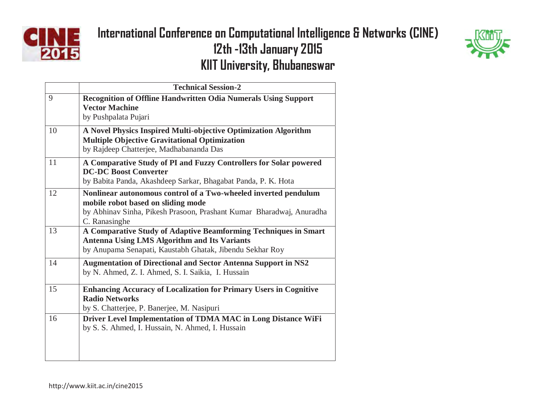



|    | <b>Technical Session-2</b>                                                                                                                                                                     |
|----|------------------------------------------------------------------------------------------------------------------------------------------------------------------------------------------------|
| 9  | <b>Recognition of Offline Handwritten Odia Numerals Using Support</b><br><b>Vector Machine</b><br>by Pushpalata Pujari                                                                         |
| 10 | A Novel Physics Inspired Multi-objective Optimization Algorithm<br><b>Multiple Objective Gravitational Optimization</b><br>by Rajdeep Chatterjee, Madhabananda Das                             |
| 11 | A Comparative Study of PI and Fuzzy Controllers for Solar powered<br><b>DC-DC Boost Converter</b><br>by Babita Panda, Akashdeep Sarkar, Bhagabat Panda, P. K. Hota                             |
| 12 | Nonlinear autonomous control of a Two-wheeled inverted pendulum<br>mobile robot based on sliding mode<br>by Abhinav Sinha, Pikesh Prasoon, Prashant Kumar Bharadwaj, Anuradha<br>C. Ranasinghe |
| 13 | A Comparative Study of Adaptive Beamforming Techniques in Smart<br><b>Antenna Using LMS Algorithm and Its Variants</b><br>by Anupama Senapati, Kaustabh Ghatak, Jibendu Sekhar Roy             |
| 14 | <b>Augmentation of Directional and Sector Antenna Support in NS2</b><br>by N. Ahmed, Z. I. Ahmed, S. I. Saikia, I. Hussain                                                                     |
| 15 | <b>Enhancing Accuracy of Localization for Primary Users in Cognitive</b><br><b>Radio Networks</b><br>by S. Chatterjee, P. Banerjee, M. Nasipuri                                                |
| 16 | Driver Level Implementation of TDMA MAC in Long Distance WiFi<br>by S. S. Ahmed, I. Hussain, N. Ahmed, I. Hussain                                                                              |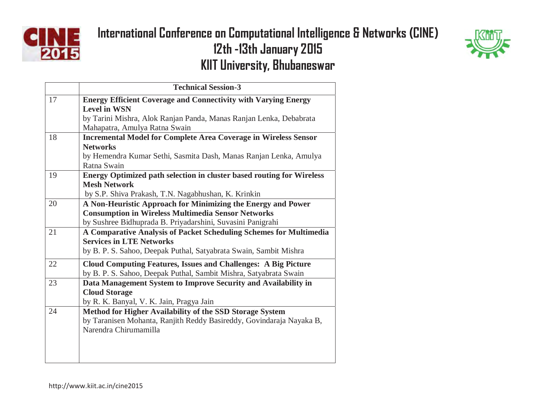



|    | <b>Technical Session-3</b>                                                   |
|----|------------------------------------------------------------------------------|
| 17 | <b>Energy Efficient Coverage and Connectivity with Varying Energy</b>        |
|    | <b>Level in WSN</b>                                                          |
|    | by Tarini Mishra, Alok Ranjan Panda, Manas Ranjan Lenka, Debabrata           |
|    | Mahapatra, Amulya Ratna Swain                                                |
| 18 | <b>Incremental Model for Complete Area Coverage in Wireless Sensor</b>       |
|    | <b>Networks</b>                                                              |
|    | by Hemendra Kumar Sethi, Sasmita Dash, Manas Ranjan Lenka, Amulya            |
|    | Ratna Swain                                                                  |
| 19 | <b>Energy Optimized path selection in cluster based routing for Wireless</b> |
|    | <b>Mesh Network</b>                                                          |
|    | by S.P. Shiva Prakash, T.N. Nagabhushan, K. Krinkin                          |
| 20 | A Non-Heuristic Approach for Minimizing the Energy and Power                 |
|    | <b>Consumption in Wireless Multimedia Sensor Networks</b>                    |
|    | by Sushree Bidhuprada B. Priyadarshini, Suvasini Panigrahi                   |
| 21 | A Comparative Analysis of Packet Scheduling Schemes for Multimedia           |
|    | <b>Services in LTE Networks</b>                                              |
|    | by B. P. S. Sahoo, Deepak Puthal, Satyabrata Swain, Sambit Mishra            |
| 22 | <b>Cloud Computing Features, Issues and Challenges: A Big Picture</b>        |
|    | by B. P. S. Sahoo, Deepak Puthal, Sambit Mishra, Satyabrata Swain            |
| 23 | Data Management System to Improve Security and Availability in               |
|    | <b>Cloud Storage</b>                                                         |
|    | by R. K. Banyal, V. K. Jain, Pragya Jain                                     |
| 24 | Method for Higher Availability of the SSD Storage System                     |
|    | by Taranisen Mohanta, Ranjith Reddy Basireddy, Govindaraja Nayaka B,         |
|    | Narendra Chirumamilla                                                        |
|    |                                                                              |
|    |                                                                              |
|    |                                                                              |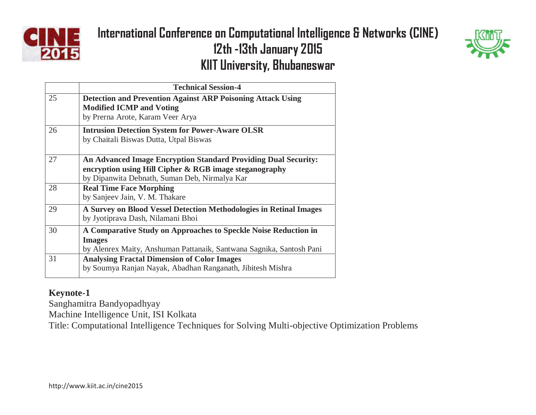



|    | <b>Technical Session-4</b>                                                                                                                                                       |
|----|----------------------------------------------------------------------------------------------------------------------------------------------------------------------------------|
| 25 | <b>Detection and Prevention Against ARP Poisoning Attack Using</b><br><b>Modified ICMP and Voting</b><br>by Prerna Arote, Karam Veer Arya                                        |
| 26 | <b>Intrusion Detection System for Power-Aware OLSR</b><br>by Chaitali Biswas Dutta, Utpal Biswas                                                                                 |
| 27 | <b>An Advanced Image Encryption Standard Providing Dual Security:</b><br>encryption using Hill Cipher & RGB image steganography<br>by Dipanwita Debnath, Suman Deb, Nirmalya Kar |
| 28 | <b>Real Time Face Morphing</b><br>by Sanjeev Jain, V. M. Thakare                                                                                                                 |
| 29 | A Survey on Blood Vessel Detection Methodologies in Retinal Images<br>by Jyotiprava Dash, Nilamani Bhoi                                                                          |
| 30 | A Comparative Study on Approaches to Speckle Noise Reduction in<br><b>Images</b><br>by Alenrex Maity, Anshuman Pattanaik, Santwana Sagnika, Santosh Pani                         |
| 31 | <b>Analysing Fractal Dimension of Color Images</b><br>by Soumya Ranjan Nayak, Abadhan Ranganath, Jibitesh Mishra                                                                 |

#### **Keynote-1**

Sanghamitra Bandyopadhyay

Machine Intelligence Unit, ISI Kolkata

Title: Computational Intelligence Techniques for Solving Multi-objective Optimization Problems